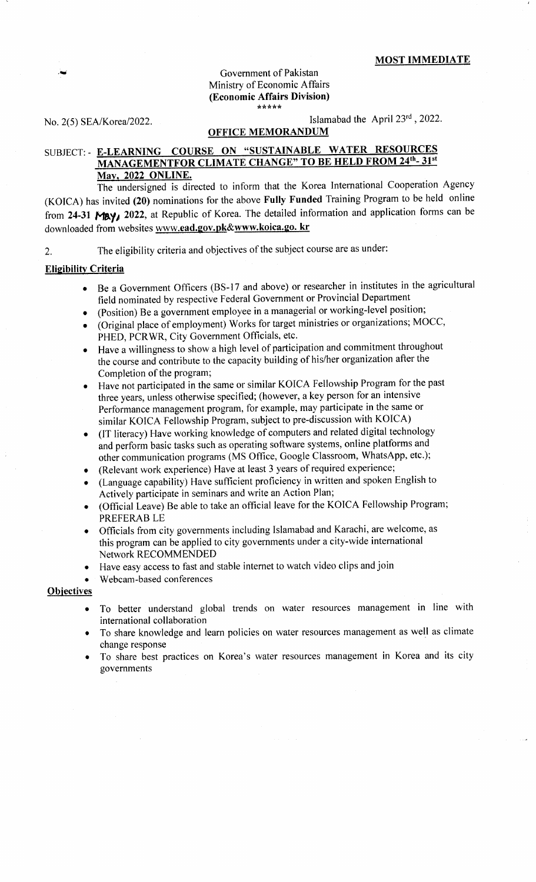#### Government of Pakistan Ministry of Economic Affairs (Economic Affairs Division) J.\*\*rkrr

No. 2(5) SEA/Korea/2022.

Islamabad the April 23rd, 2022.

### OFFICE MEMORANDUM

# SUBJECT: - E-LEARNING COURSE ON "SUSTAINABLE WATER RESOURCES R CLIMATE CHANGE" TO BE HELD FROM 24<sup>th</sup>-31<sup>st</sup> Mav. 2022 ONLINE.

The undersigned is directed to inform that the Korea lnternational Cooperation Agency (KOICA) has invited (20) nominations for the above Futly Funded Training Program to be held online from 24-31 MBY<sub>4</sub> 2022, at Republic of Korea. The detailed information and application forms can be downloaded from websites www.ead.gov.pk&www.koica.go. kr

Z. The eligibility criteria and objectives of'the subject course are as under:

### Eligibilitv Criteria

- o Be a Government Officers (BS-17 and above) or researcher in institutes in the agricultural field nominated by respective Federal Government or Provincial Department
- (Position) Be a government employee in a managerial or working-level position;
- (Original place of employment) Works for target ministries or organizations; MOCC, PHED, PCRWR, City Government Officials, etc.
- Have a willingness to show a high level of participation and commitment throughout the course and contribute to the capacity building of his/her organization after the Completion of the program;
- Have not participated in the same or similar KOICA Fellowship Program for the past three years, unless otherwise specified; (however, a key person for an intensive Performance management program, for example, may participate in the same or similar KOICA Fellowship Program, subject to pre-discussion with KOICA)
- (IT literacy) Have working knowledge of computers and related digital technology and perform basic tasks such as operating software systems, online platforms and other communication programs (MS Offrce, Google Classroom, WhatsApp, etc.);
- (Relevant work experience) Have at least 3 years of required experience;
- (Language capability) Have sufficient proficiency in written and spoken English to Actively participate in seminars and write an Action Plan;
- (Official Leave) Be able to take an official leave for the KOICA Fellowship Program; PREFERAB LE
- o Officials from city governments including Islamabad and Karachi, are welcome, as this program can be applied to city governments under a city-wide international Network RECOMMENDED
- Have easy access to fast and stable internet to watch video clips and join
- Webcam-based conferences

### **Objectives**

- To better understand global trends on water resources management in line with international collaboration
- To share knowledge and learn policies on water resources management as well as climate change response
- To share best practices on Korea's water resources management in Korea and its city govemments